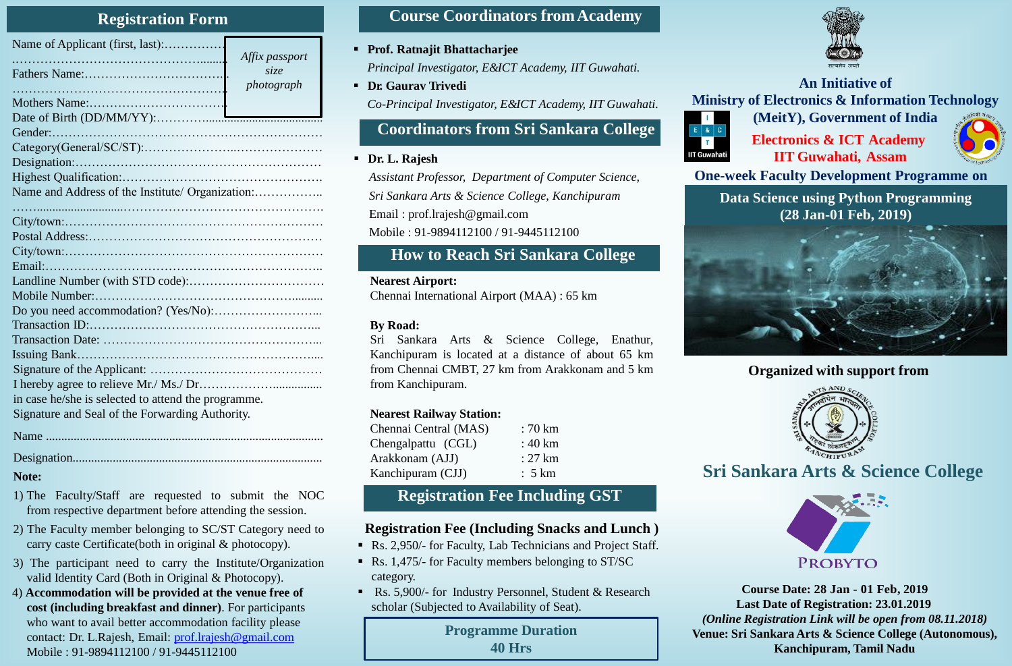#### **Registration Form**

| Name of Applicant (first, last):                    | Affix passport     |  |
|-----------------------------------------------------|--------------------|--|
|                                                     | size<br>photograph |  |
|                                                     |                    |  |
|                                                     |                    |  |
|                                                     |                    |  |
|                                                     |                    |  |
|                                                     |                    |  |
|                                                     |                    |  |
| Name and Address of the Institute/ Organization:    |                    |  |
|                                                     |                    |  |
|                                                     |                    |  |
|                                                     |                    |  |
|                                                     |                    |  |
|                                                     |                    |  |
|                                                     |                    |  |
|                                                     |                    |  |
|                                                     |                    |  |
|                                                     |                    |  |
|                                                     |                    |  |
|                                                     |                    |  |
|                                                     |                    |  |
|                                                     |                    |  |
| in case he/she is selected to attend the programme. |                    |  |
| Signature and Seal of the Forwarding Authority.     |                    |  |
|                                                     |                    |  |

Name ..........................................................................................

#### Designation.................................................................................

#### **Note:**

- 1) The Faculty/Staff are requested to submit the NOC from respective department before attending the session.
- 2) The Faculty member belonging to SC/ST Category need to carry caste Certificate(both in original & photocopy).
- 3) The participant need to carry the Institute/Organization valid Identity Card (Both in Original & Photocopy).
- 4) **Accommodation will be provided at the venue free of cost (including breakfast and dinner)**. For participants who want to avail better accommodation facility please contact: Dr. L.Rajesh, Email: [prof.lrajesh@gmail.com](mailto:prof.lrajesh@gmail.com) Mobile : 91-9894112100 / 91-9445112100

### **Course Coordinators fromAcademy**

**Prof. Ratnajit Bhattacharjee**

*Principal Investigator, E&ICT Academy, IIT Guwahati.*

*photograph* **An Initiative of Dr. Gaurav Trivedi** *Co-Principal Investigator, E&ICT Academy, IIT Guwahati.*

### **Coordinators from Sri Sankara College**

#### **Dr. L. Rajesh**

*Assistant Professor, Department of Computer Science, Sri Sankara Arts & Science College, Kanchipuram* Email : prof.lrajesh@gmail.com Mobile : 91-9894112100 / 91-9445112100

# **How to Reach Sri Sankara College**

#### **Nearest Airport:**

Chennai International Airport (MAA) : 65 km

#### **By Road:**

Sri Sankara Arts & Science College, Enathur, Kanchipuram is located at a distance of about 65 km from Chennai CMBT, 27 km from Arakkonam and 5 km from Kanchipuram.

#### **Nearest Railway Station:**

| Chennai Central (MAS) | $:70~{\rm km}$    |
|-----------------------|-------------------|
| Chengalpattu (CGL)    | $:40 \mathrm{km}$ |
| Arakkonam (AJJ)       | : 27 km           |
| Kanchipuram (CJJ)     | : 5 km            |

## **Registration Fee Including GST**

### **Registration Fee (Including Snacks and Lunch )**

- Rs. 2,950/- for Faculty, Lab Technicians and Project Staff.
- Rs. 1,475/- for Faculty members belonging to ST/SC category.
- Rs. 5,900/- for Industry Personnel, Student & Research scholar (Subjected to Availability of Seat).

**Programme Duration 40 Hrs** 



# **Ministry of Electronics & Information Technology (MeitY), Government of India**



**Electronics & ICT Academy IIT Guwahati, Assam**

**One-week Faculty Development Programme on**

**Data Science using Python Programming (28 Jan-01 Feb, 2019)**



### **Organized with support from**



**Sri Sankara Arts & Science College**



**Course Date: 28 Jan - 01 Feb, 2019 Last Date of Registration: 23.01.2019** *(Online Registration Link will be open from 08.11.2018)* **Venue: Sri Sankara Arts & Science College (Autonomous), Kanchipuram, Tamil Nadu**